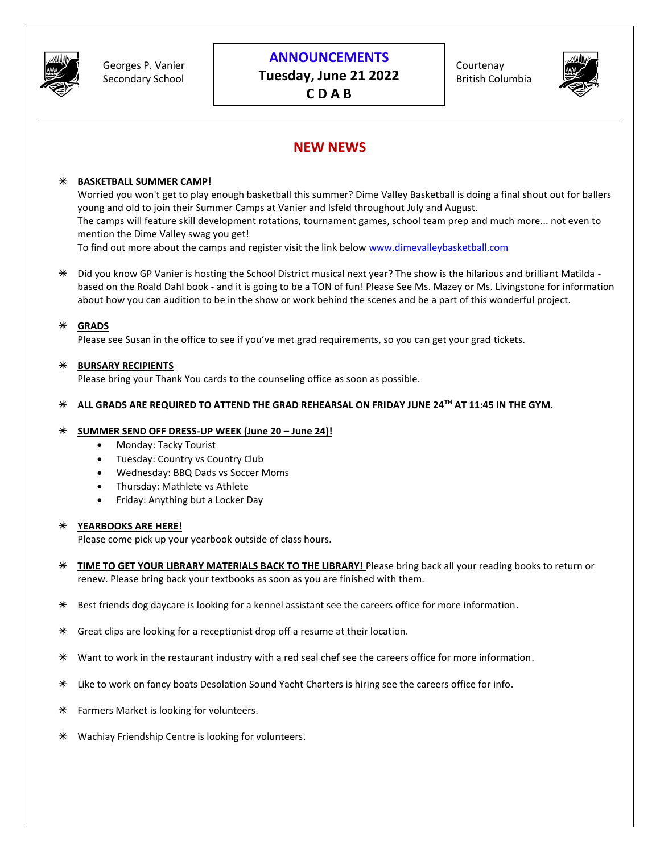

## **ANNOUNCEMENTS**

**Tuesday, June 21 2022 C D A B**

Courtenay British Columbia



# **NEW NEWS**

### **BASKETBALL SUMMER CAMP!**

Worried you won't get to play enough basketball this summer? Dime Valley Basketball is doing a final shout out for ballers young and old to join their Summer Camps at Vanier and Isfeld throughout July and August. The camps will feature skill development rotations, tournament games, school team prep and much more... not even to mention the Dime Valley swag you get!

To find out more about the camps and register visit the link below [www.dimevalleybasketball.com](http://www.dimevalleybasketball.com/)

 Did you know GP Vanier is hosting the School District musical next year? The show is the hilarious and brilliant Matilda based on the Roald Dahl book - and it is going to be a TON of fun! Please See Ms. Mazey or Ms. Livingstone for information about how you can audition to be in the show or work behind the scenes and be a part of this wonderful project.

### **GRADS**

Please see Susan in the office to see if you've met grad requirements, so you can get your grad tickets.

### **BURSARY RECIPIENTS**

Please bring your Thank You cards to the counseling office as soon as possible.

### **ALL GRADS ARE REQUIRED TO ATTEND THE GRAD REHEARSAL ON FRIDAY JUNE 24TH AT 11:45 IN THE GYM.**

### **SUMMER SEND OFF DRESS-UP WEEK (June 20 – June 24)!**

- Monday: Tacky Tourist
- Tuesday: Country vs Country Club
- Wednesday: BBQ Dads vs Soccer Moms
- Thursday: Mathlete vs Athlete
- Friday: Anything but a Locker Day

#### **YEARBOOKS ARE HERE!**

Please come pick up your yearbook outside of class hours.

- **TIME TO GET YOUR LIBRARY MATERIALS BACK TO THE LIBRARY!** Please bring back all your reading books to return or renew. Please bring back your textbooks as soon as you are finished with them.
- Best friends dog daycare is looking for a kennel assistant see the careers office for more information.
- Great clips are looking for a receptionist drop off a resume at their location.
- Want to work in the restaurant industry with a red seal chef see the careers office for more information.
- Like to work on fancy boats Desolation Sound Yacht Charters is hiring see the careers office for info.
- **\*** Farmers Market is looking for volunteers.
- Wachiay Friendship Centre is looking for volunteers.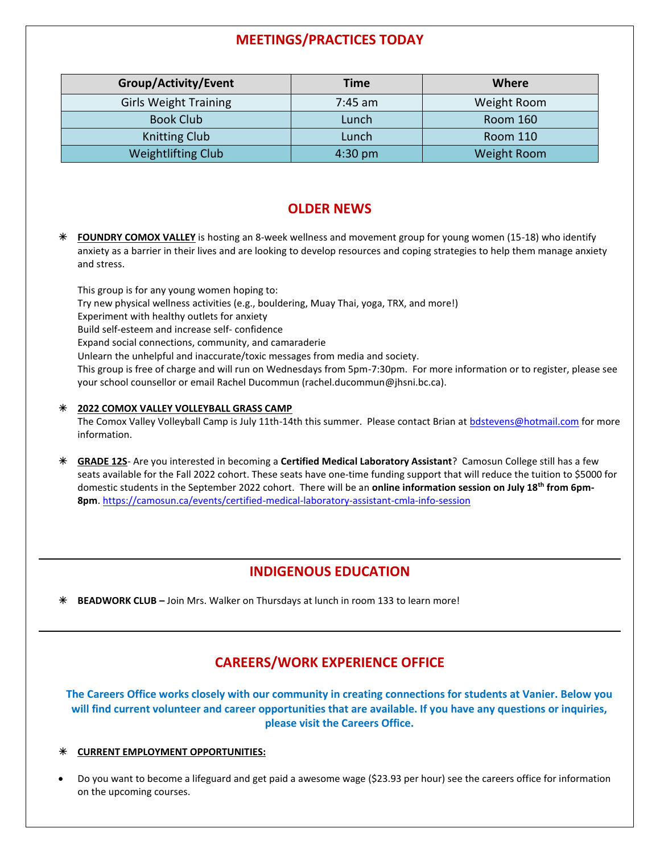# **MEETINGS/PRACTICES TODAY**

| Group/Activity/Event         | <b>Time</b> | Where              |
|------------------------------|-------------|--------------------|
| <b>Girls Weight Training</b> | $7:45$ am   | Weight Room        |
| <b>Book Club</b>             | Lunch       | <b>Room 160</b>    |
| <b>Knitting Club</b>         | Lunch       | <b>Room 110</b>    |
| <b>Weightlifting Club</b>    | $4:30$ pm   | <b>Weight Room</b> |

# **OLDER NEWS**

 **FOUNDRY COMOX VALLEY** is hosting an 8-week wellness and movement group for young women (15-18) who identify anxiety as a barrier in their lives and are looking to develop resources and coping strategies to help them manage anxiety and stress.

This group is for any young women hoping to: Try new physical wellness activities (e.g., bouldering, Muay Thai, yoga, TRX, and more!) Experiment with healthy outlets for anxiety Build self-esteem and increase self- confidence Expand social connections, community, and camaraderie Unlearn the unhelpful and inaccurate/toxic messages from media and society. This group is free of charge and will run on Wednesdays from 5pm-7:30pm. For more information or to register, please see your school counsellor or email Rachel Ducommun (rachel.ducommun@jhsni.bc.ca).

#### **2022 COMOX VALLEY VOLLEYBALL GRASS CAMP**

The Comox Valley Volleyball Camp is July 11th-14th this summer. Please contact Brian at [bdstevens@hotmail.com](mailto:bdstevens@hotmail.com) for more information.

 **GRADE 12S**- Are you interested in becoming a **Certified Medical Laboratory Assistant**? Camosun College still has a few seats available for the Fall 2022 cohort. These seats have one-time funding support that will reduce the tuition to \$5000 for domestic students in the September 2022 cohort. There will be an **online information session on July 18th from 6pm-8pm**. <https://camosun.ca/events/certified-medical-laboratory-assistant-cmla-info-session>

# **INDIGENOUS EDUCATION**

**BEADWORK CLUB –** Join Mrs. Walker on Thursdays at lunch in room 133 to learn more!

# **CAREERS/WORK EXPERIENCE OFFICE**

**The Careers Office works closely with our community in creating connections for students at Vanier. Below you will find current volunteer and career opportunities that are available. If you have any questions or inquiries, please visit the Careers Office.**

### **CURRENT EMPLOYMENT OPPORTUNITIES:**

• Do you want to become a lifeguard and get paid a awesome wage (\$23.93 per hour) see the careers office for information on the upcoming courses.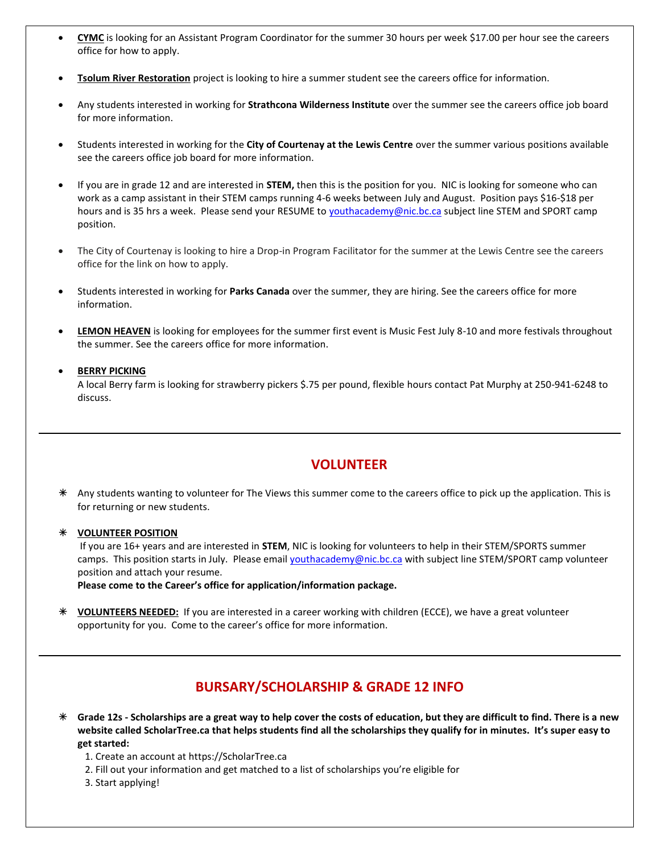- **CYMC** is looking for an Assistant Program Coordinator for the summer 30 hours per week \$17.00 per hour see the careers office for how to apply.
- **Tsolum River Restoration** project is looking to hire a summer student see the careers office for information.
- Any students interested in working for **Strathcona Wilderness Institute** over the summer see the careers office job board for more information.
- Students interested in working for the **City of Courtenay at the Lewis Centre** over the summer various positions available see the careers office job board for more information.
- If you are in grade 12 and are interested in **STEM,** then this is the position for you. NIC is looking for someone who can work as a camp assistant in their STEM camps running 4-6 weeks between July and August. Position pays \$16-\$18 per hours and is 35 hrs a week. Please send your RESUME to *youthacademy@nic.bc.ca* subject line STEM and SPORT camp position.
- The City of Courtenay is looking to hire a Drop-in Program Facilitator for the summer at the Lewis Centre see the careers office for the link on how to apply.
- Students interested in working for **Parks Canada** over the summer, they are hiring. See the careers office for more information.
- **LEMON HEAVEN** is looking for employees for the summer first event is Music Fest July 8-10 and more festivals throughout the summer. See the careers office for more information.

#### • **BERRY PICKING**

A local Berry farm is looking for strawberry pickers \$.75 per pound, flexible hours contact Pat Murphy at 250-941-6248 to discuss.

## **VOLUNTEER**

 Any students wanting to volunteer for The Views this summer come to the careers office to pick up the application. This is for returning or new students.

 **VOLUNTEER POSITION** If you are 16+ years and are interested in **STEM**, NIC is looking for volunteers to help in their STEM/SPORTS summer camps. This position starts in July. Please email [youthacademy@nic.bc.ca](mailto:youthacademy@nic.bc.ca) with subject line STEM/SPORT camp volunteer position and attach your resume.

**Please come to the Career's office for application/information package.**

 **VOLUNTEERS NEEDED:** If you are interested in a career working with children (ECCE), we have a great volunteer opportunity for you. Come to the career's office for more information.

# **BURSARY/SCHOLARSHIP & GRADE 12 INFO**

- **Grade 12s - Scholarships are a great way to help cover the costs of education, but they are difficult to find. There is a new website called ScholarTree.ca that helps students find all the scholarships they qualify for in minutes. It's super easy to get started:**
	- 1. Create an account at https://ScholarTree.ca
	- 2. Fill out your information and get matched to a list of scholarships you're eligible for
	- 3. Start applying!